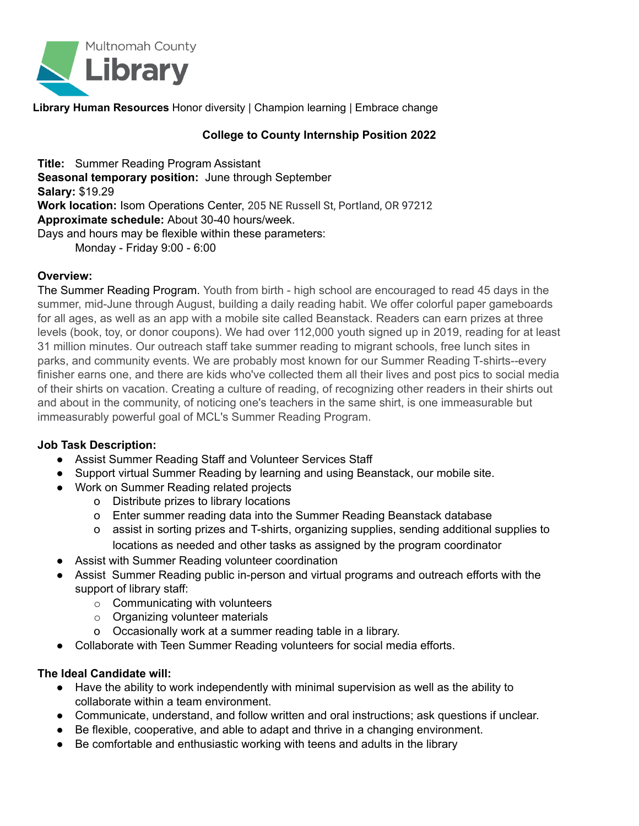

**Library Human Resources** Honor diversity | Champion learning | Embrace change

### **College to County Internship Position 2022**

**Title:** Summer Reading Program Assistant **Seasonal temporary position:** June through September **Salary:** \$19.29 **Work location:** Isom Operations Center, 205 NE Russell St, Portland, OR 97212 **Approximate schedule:** About 30-40 hours/week. Days and hours may be flexible within these parameters: Monday - Friday 9:00 - 6:00

#### **Overview:**

The Summer Reading Program. Youth from birth - high school are encouraged to read 45 days in the summer, mid-June through August, building a daily reading habit. We offer colorful paper gameboards for all ages, as well as an app with a mobile site called Beanstack. Readers can earn prizes at three levels (book, toy, or donor coupons). We had over 112,000 youth signed up in 2019, reading for at least 31 million minutes. Our outreach staff take summer reading to migrant schools, free lunch sites in parks, and community events. We are probably most known for our Summer Reading T-shirts--every finisher earns one, and there are kids who've collected them all their lives and post pics to social media of their shirts on vacation. Creating a culture of reading, of recognizing other readers in their shirts out and about in the community, of noticing one's teachers in the same shirt, is one immeasurable but immeasurably powerful goal of MCL's Summer Reading Program.

#### **Job Task Description:**

- Assist Summer Reading Staff and Volunteer Services Staff
- Support virtual Summer Reading by learning and using Beanstack, our mobile site.
- Work on Summer Reading related projects
	- o Distribute prizes to library locations
	- o Enter summer reading data into the Summer Reading Beanstack database
	- o assist in sorting prizes and T-shirts, organizing supplies, sending additional supplies to locations as needed and other tasks as assigned by the program coordinator
- Assist with Summer Reading volunteer coordination
- Assist Summer Reading public in-person and virtual programs and outreach efforts with the support of library staff:
	- o Communicating with volunteers
	- o Organizing volunteer materials
	- o Occasionally work at a summer reading table in a library.
- Collaborate with Teen Summer Reading volunteers for social media efforts.

### **The Ideal Candidate will:**

- Have the ability to work independently with minimal supervision as well as the ability to collaborate within a team environment.
- Communicate, understand, and follow written and oral instructions; ask questions if unclear.
- Be flexible, cooperative, and able to adapt and thrive in a changing environment.
- Be comfortable and enthusiastic working with teens and adults in the library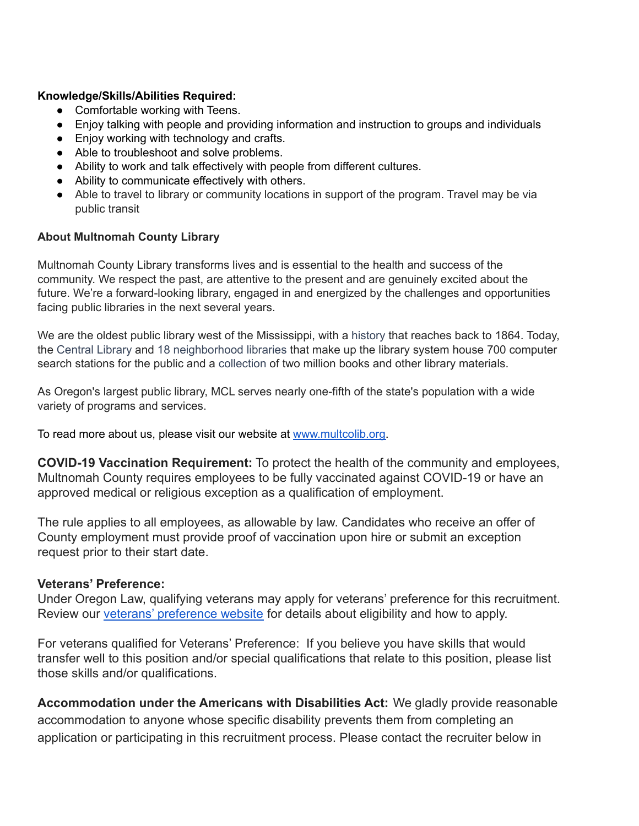## **Knowledge/Skills/Abilities Required:**

- Comfortable working with Teens.
- Enjoy talking with people and providing information and instruction to groups and individuals
- Enjoy working with technology and crafts.
- Able to troubleshoot and solve problems.
- Ability to work and talk effectively with people from different cultures.
- Ability to communicate effectively with others.
- Able to travel to library or community locations in support of the program. Travel may be via public transit

## **About Multnomah County Library**

Multnomah County Library transforms lives and is essential to the health and success of the community. We respect the past, are attentive to the present and are genuinely excited about the future. We're a forward-looking library, engaged in and energized by the challenges and opportunities facing public libraries in the next several years.

We are the oldest public library west of the Mississippi, with a [history](http://www.multcolib.org/about/mcl-his.html) that reaches back to 1864. Today, the [Central](http://www.multcolib.org/agcy/cen.html) Library and 18 [neighborhood](http://www.multcolib.org/hours/index.html) libraries that make up the library system house 700 computer search stations for the public and a [collection](http://catalog.multcolib.org/) of two million books and other library materials.

As Oregon's largest public library, MCL serves nearly one-fifth of the state's population with a wide variety of programs and services.

To read more about us, please visit our website at [www.multcolib.org.](http://www.multcolib.org/)

**COVID-19 Vaccination Requirement:** To protect the health of the community and employees, Multnomah County requires employees to be fully vaccinated against COVID-19 or have an approved medical or religious exception as a qualification of employment.

The rule applies to all employees, as allowable by law. Candidates who receive an offer of County employment must provide proof of vaccination upon hire or submit an exception request prior to their start date.

# **Veterans' Preference:**

Under Oregon Law, qualifying veterans may apply for veterans' preference for this recruitment. Review our [veterans' preference website](http://multco.us/jobs/veterans-preference-information-and-instructions) for details about eligibility and how to apply.

For veterans qualified for Veterans' Preference: If you believe you have skills that would transfer well to this position and/or special qualifications that relate to this position, please list those skills and/or qualifications.

**Accommodation under the Americans with Disabilities Act:** We gladly provide reasonable accommodation to anyone whose specific disability prevents them from completing an application or participating in this recruitment process. Please contact the recruiter below in